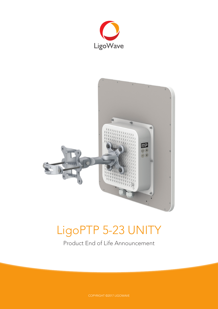



# LigoPTP 5-23 UNITY

Product End of Life Announcement

COPYRIGHT ©2017 LIGOWAVE